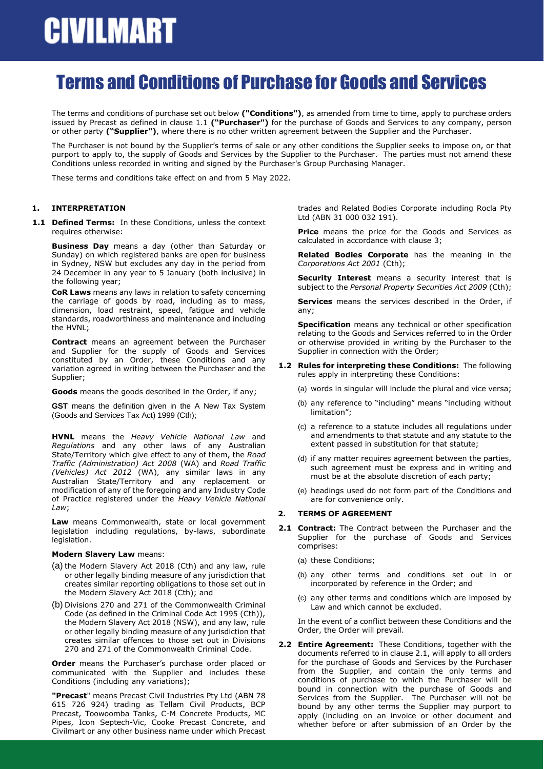### Terms and Conditions of Purchase for Goods and Services

The terms and conditions of purchase set out below **("Conditions")**, as amended from time to time, apply to purchase orders issued by Precast as defined in clause 1.1 **("Purchaser")** for the purchase of Goods and Services to any company, person or other party **("Supplier")**, where there is no other written agreement between the Supplier and the Purchaser.

The Purchaser is not bound by the Supplier's terms of sale or any other conditions the Supplier seeks to impose on, or that purport to apply to, the supply of Goods and Services by the Supplier to the Purchaser. The parties must not amend these Conditions unless recorded in writing and signed by the Purchaser's Group Purchasing Manager.

These terms and conditions take effect on and from 5 May 2022.

### **1. INTERPRETATION**

**1.1 Defined Terms:** In these Conditions, unless the context requires otherwise:

**Business Day** means a day (other than Saturday or Sunday) on which registered banks are open for business in Sydney, NSW but excludes any day in the period from 24 December in any year to 5 January (both inclusive) in the following year;

**CoR Laws** means any laws in relation to safety concerning the carriage of goods by road, including as to mass, dimension, load restraint, speed, fatigue and vehicle standards, roadworthiness and maintenance and including the HVNL;

**Contract** means an agreement between the Purchaser and Supplier for the supply of Goods and Services constituted by an Order, these Conditions and any variation agreed in writing between the Purchaser and the Supplier;

**Goods** means the goods described in the Order, if any;

**GST** means the definition given in the A New Tax System (Goods and Services Tax Act) 1999 (Cth);

**HVNL** means the *Heavy Vehicle National Law* and *Regulations* and any other laws of any Australian State/Territory which give effect to any of them, the *Road Traffic (Administration) Act 2008* (WA) and *Road Traffic (Vehicles) Act 2012* (WA), any similar laws in any Australian State/Territory and any replacement or modification of any of the foregoing and any Industry Code of Practice registered under the *Heavy Vehicle National Law*;

**Law** means Commonwealth, state or local government legislation including regulations, by-laws, subordinate legislation.

#### **Modern Slavery Law** means:

- (a) the Modern Slavery Act 2018 (Cth) and any law, rule or other legally binding measure of any jurisdiction that creates similar reporting obligations to those set out in the Modern Slavery Act 2018 (Cth); and
- (b) Divisions 270 and 271 of the Commonwealth Criminal Code (as defined in the Criminal Code Act 1995 (Cth)), the Modern Slavery Act 2018 (NSW), and any law, rule or other legally binding measure of any jurisdiction that creates similar offences to those set out in Divisions 270 and 271 of the Commonwealth Criminal Code.

**Order** means the Purchaser's purchase order placed or communicated with the Supplier and includes these Conditions (including any variations);

**"Precast**" means Precast Civil Industries Pty Ltd (ABN 78 615 726 924) trading as Tellam Civil Products, BCP Precast, Toowoomba Tanks, C-M Concrete Products, MC Pipes, Icon Septech-Vic, Cooke Precast Concrete, and Civilmart or any other business name under which Precast trades and Related Bodies Corporate including Rocla Pty Ltd (ABN 31 000 032 191).

**Price** means the price for the Goods and Services as calculated in accordance with clause [3;](#page-1-0)

**Related Bodies Corporate** has the meaning in the *Corporations Act 2001* (Cth);

**Security Interest** means a security interest that is subject to the *Personal Property Securities Act 2009* (Cth);

**Services** means the services described in the Order, if any;

**Specification** means any technical or other specification relating to the Goods and Services referred to in the Order or otherwise provided in writing by the Purchaser to the Supplier in connection with the Order;

- **1.2 Rules for interpreting these Conditions:** The following rules apply in interpreting these Conditions:
	- (a) words in singular will include the plural and vice versa;
	- (b) any reference to "including" means "including without limitation";
	- (c) a reference to a statute includes all regulations under and amendments to that statute and any statute to the extent passed in substitution for that statute;
	- (d) if any matter requires agreement between the parties, such agreement must be express and in writing and must be at the absolute discretion of each party;
	- (e) headings used do not form part of the Conditions and are for convenience only.

#### **2. TERMS OF AGREEMENT**

- <span id="page-0-0"></span>**2.1 Contract:** The Contract between the Purchaser and the Supplier for the purchase of Goods and Services comprises:
	- (a) these Conditions;
	- (b) any other terms and conditions set out in or incorporated by reference in the Order; and
	- (c) any other terms and conditions which are imposed by Law and which cannot be excluded.

In the event of a conflict between these Conditions and the Order, the Order will prevail.

**2.2 Entire Agreement:** These Conditions, together with the documents referred to in claus[e 2.1,](#page-0-0) will apply to all orders for the purchase of Goods and Services by the Purchaser from the Supplier, and contain the only terms and conditions of purchase to which the Purchaser will be bound in connection with the purchase of Goods and Services from the Supplier. The Purchaser will not be bound by any other terms the Supplier may purport to apply (including on an invoice or other document and whether before or after submission of an Order by the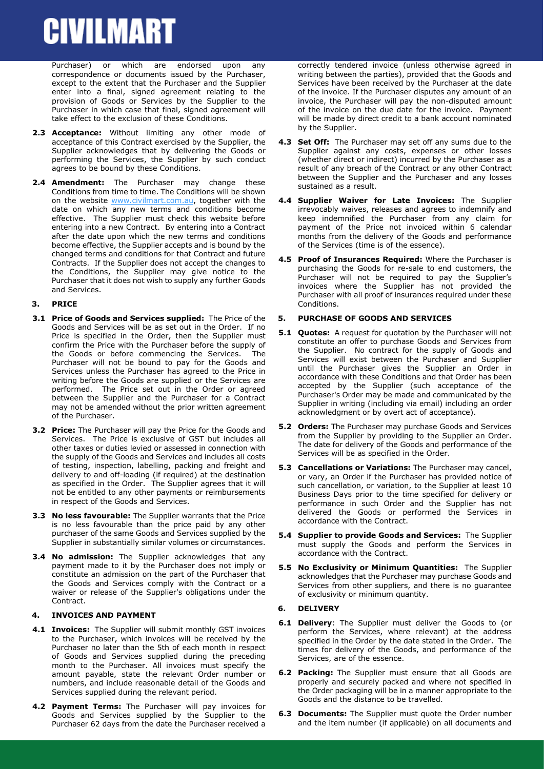Purchaser) or which are endorsed upon any correspondence or documents issued by the Purchaser, except to the extent that the Purchaser and the Supplier enter into a final, signed agreement relating to the provision of Goods or Services by the Supplier to the Purchaser in which case that final, signed agreement will take effect to the exclusion of these Conditions.

- **2.3 Acceptance:** Without limiting any other mode of acceptance of this Contract exercised by the Supplier, the Supplier acknowledges that by delivering the Goods or performing the Services, the Supplier by such conduct agrees to be bound by these Conditions.
- **2.4 Amendment:** The Purchaser may change these Conditions from time to time. The Conditions will be shown on the website [www.civilmart.com.au,](http://www.civilmart.com.au/) together with the date on which any new terms and conditions become effective. The Supplier must check this website before entering into a new Contract. By entering into a Contract after the date upon which the new terms and conditions become effective, the Supplier accepts and is bound by the changed terms and conditions for that Contract and future Contracts. If the Supplier does not accept the changes to the Conditions, the Supplier may give notice to the Purchaser that it does not wish to supply any further Goods and Services.

### <span id="page-1-0"></span>**3. PRICE**

- **3.1 Price of Goods and Services supplied:** The Price of the Goods and Services will be as set out in the Order. If no Price is specified in the Order, then the Supplier must confirm the Price with the Purchaser before the supply of the Goods or before commencing the Services. The Purchaser will not be bound to pay for the Goods and Services unless the Purchaser has agreed to the Price in writing before the Goods are supplied or the Services are performed. The Price set out in the Order or agreed between the Supplier and the Purchaser for a Contract may not be amended without the prior written agreement of the Purchaser.
- **3.2 Price:** The Purchaser will pay the Price for the Goods and Services. The Price is exclusive of GST but includes all other taxes or duties levied or assessed in connection with the supply of the Goods and Services and includes all costs of testing, inspection, labelling, packing and freight and delivery to and off-loading (if required) at the destination as specified in the Order. The Supplier agrees that it will not be entitled to any other payments or reimbursements in respect of the Goods and Services.
- **3.3 No less favourable:** The Supplier warrants that the Price is no less favourable than the price paid by any other purchaser of the same Goods and Services supplied by the Supplier in substantially similar volumes or circumstances.
- **3.4 No admission:** The Supplier acknowledges that any payment made to it by the Purchaser does not imply or constitute an admission on the part of the Purchaser that the Goods and Services comply with the Contract or a waiver or release of the Supplier's obligations under the Contract.

#### **4. INVOICES AND PAYMENT**

- **4.1 Invoices:** The Supplier will submit monthly GST invoices to the Purchaser, which invoices will be received by the Purchaser no later than the 5th of each month in respect of Goods and Services supplied during the preceding month to the Purchaser. All invoices must specify the amount payable, state the relevant Order number or numbers, and include reasonable detail of the Goods and Services supplied during the relevant period.
- **4.2 Payment Terms:** The Purchaser will pay invoices for Goods and Services supplied by the Supplier to the Purchaser 62 days from the date the Purchaser received a

correctly tendered invoice (unless otherwise agreed in writing between the parties), provided that the Goods and Services have been received by the Purchaser at the date of the invoice. If the Purchaser disputes any amount of an invoice, the Purchaser will pay the non-disputed amount of the invoice on the due date for the invoice. Payment will be made by direct credit to a bank account nominated by the Supplier.

- **4.3 Set Off:** The Purchaser may set off any sums due to the Supplier against any costs, expenses or other losses (whether direct or indirect) incurred by the Purchaser as a result of any breach of the Contract or any other Contract between the Supplier and the Purchaser and any losses sustained as a result.
- **4.4 Supplier Waiver for Late Invoices:** The Supplier irrevocably waives, releases and agrees to indemnify and keep indemnified the Purchaser from any claim for payment of the Price not invoiced within 6 calendar months from the delivery of the Goods and performance of the Services (time is of the essence).
- **4.5 Proof of Insurances Required:** Where the Purchaser is purchasing the Goods for re-sale to end customers, the Purchaser will not be required to pay the Supplier's invoices where the Supplier has not provided the Purchaser with all proof of insurances required under these Conditions.

#### **5. PURCHASE OF GOODS AND SERVICES**

- **5.1 Quotes:** A request for quotation by the Purchaser will not constitute an offer to purchase Goods and Services from the Supplier. No contract for the supply of Goods and Services will exist between the Purchaser and Supplier until the Purchaser gives the Supplier an Order in accordance with these Conditions and that Order has been accepted by the Supplier (such acceptance of the Purchaser's Order may be made and communicated by the Supplier in writing (including via email) including an order acknowledgment or by overt act of acceptance).
- **5.2 Orders:** The Purchaser may purchase Goods and Services from the Supplier by providing to the Supplier an Order. The date for delivery of the Goods and performance of the Services will be as specified in the Order.
- **5.3 Cancellations or Variations:** The Purchaser may cancel, or vary, an Order if the Purchaser has provided notice of such cancellation, or variation, to the Supplier at least 10 Business Days prior to the time specified for delivery or performance in such Order and the Supplier has not delivered the Goods or performed the Services in accordance with the Contract.
- **5.4 Supplier to provide Goods and Services:** The Supplier must supply the Goods and perform the Services in accordance with the Contract.
- **5.5 No Exclusivity or Minimum Quantities:** The Supplier acknowledges that the Purchaser may purchase Goods and Services from other suppliers, and there is no guarantee of exclusivity or minimum quantity.

### **6. DELIVERY**

- **6.1 Delivery**: The Supplier must deliver the Goods to (or perform the Services, where relevant) at the address specified in the Order by the date stated in the Order. The times for delivery of the Goods, and performance of the Services, are of the essence.
- **6.2 Packing:** The Supplier must ensure that all Goods are properly and securely packed and where not specified in the Order packaging will be in a manner appropriate to the Goods and the distance to be travelled.
- **6.3 Documents:** The Supplier must quote the Order number and the item number (if applicable) on all documents and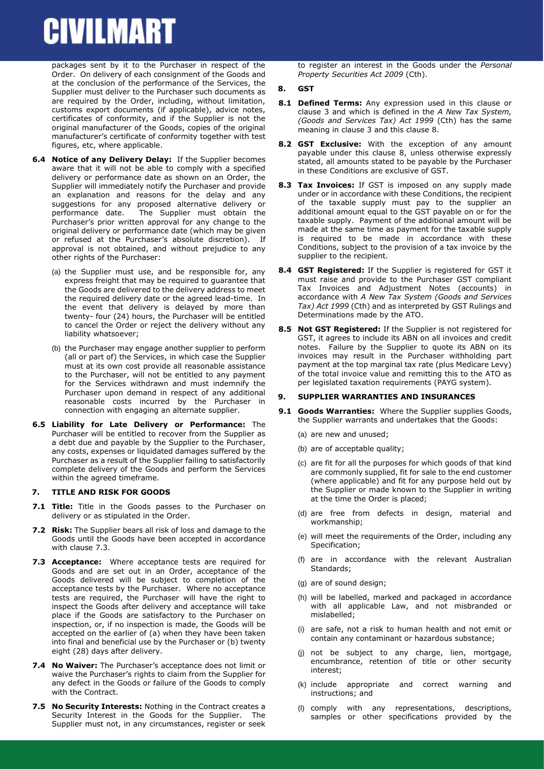packages sent by it to the Purchaser in respect of the Order. On delivery of each consignment of the Goods and at the conclusion of the performance of the Services, the Supplier must deliver to the Purchaser such documents as are required by the Order, including, without limitation, customs export documents (if applicable), advice notes, certificates of conformity, and if the Supplier is not the original manufacturer of the Goods, copies of the original manufacturer's certificate of conformity together with test figures, etc, where applicable.

- **6.4 Notice of any Delivery Delay:** If the Supplier becomes aware that it will not be able to comply with a specified delivery or performance date as shown on an Order, the Supplier will immediately notify the Purchaser and provide an explanation and reasons for the delay and any suggestions for any proposed alternative delivery or performance date. The Supplier must obtain the Purchaser's prior written approval for any change to the original delivery or performance date (which may be given or refused at the Purchaser's absolute discretion). If approval is not obtained, and without prejudice to any other rights of the Purchaser:
	- (a) the Supplier must use, and be responsible for, any express freight that may be required to guarantee that the Goods are delivered to the delivery address to meet the required delivery date or the agreed lead-time. In the event that delivery is delayed by more than twenty- four (24) hours, the Purchaser will be entitled to cancel the Order or reject the delivery without any liability whatsoever;
	- (b) the Purchaser may engage another supplier to perform (all or part of) the Services, in which case the Supplier must at its own cost provide all reasonable assistance to the Purchaser, will not be entitled to any payment for the Services withdrawn and must indemnify the Purchaser upon demand in respect of any additional reasonable costs incurred by the Purchaser in connection with engaging an alternate supplier.
- **6.5 Liability for Late Delivery or Performance:** The Purchaser will be entitled to recover from the Supplier as a debt due and payable by the Supplier to the Purchaser, any costs, expenses or liquidated damages suffered by the Purchaser as a result of the Supplier failing to satisfactorily complete delivery of the Goods and perform the Services within the agreed timeframe.

#### **7. TITLE AND RISK FOR GOODS**

- **7.1 Title:** Title in the Goods passes to the Purchaser on delivery or as stipulated in the Order.
- **7.2 Risk:** The Supplier bears all risk of loss and damage to the Goods until the Goods have been accepted in accordance with clause [7.3.](#page-2-0)
- <span id="page-2-0"></span>**7.3 Acceptance:** Where acceptance tests are required for Goods and are set out in an Order, acceptance of the Goods delivered will be subject to completion of the acceptance tests by the Purchaser. Where no acceptance tests are required, the Purchaser will have the right to inspect the Goods after delivery and acceptance will take place if the Goods are satisfactory to the Purchaser on inspection, or, if no inspection is made, the Goods will be accepted on the earlier of (a) when they have been taken into final and beneficial use by the Purchaser or (b) twenty eight (28) days after delivery.
- **7.4 No Waiver:** The Purchaser's acceptance does not limit or waive the Purchaser's rights to claim from the Supplier for any defect in the Goods or failure of the Goods to comply with the Contract.
- **7.5 No Security Interests:** Nothing in the Contract creates a Security Interest in the Goods for the Supplier. The Supplier must not, in any circumstances, register or seek

to register an interest in the Goods under the *Personal Property Securities Act 2009* (Cth).

#### <span id="page-2-1"></span>**8. GST**

- **8.1 Defined Terms:** Any expression used in this clause or clause [3](#page-1-0) and which is defined in the *A New Tax System, (Goods and Services Tax) Act 1999* (Cth) has the same meaning in claus[e 3](#page-1-0) and this clause [8.](#page-2-1)
- **8.2 GST Exclusive:** With the exception of any amount payable under this clause [8,](#page-2-1) unless otherwise expressly stated, all amounts stated to be payable by the Purchaser in these Conditions are exclusive of GST.
- **8.3 Tax Invoices:** If GST is imposed on any supply made under or in accordance with these Conditions, the recipient of the taxable supply must pay to the supplier an additional amount equal to the GST payable on or for the taxable supply. Payment of the additional amount will be made at the same time as payment for the taxable supply is required to be made in accordance with these Conditions, subject to the provision of a tax invoice by the supplier to the recipient.
- **8.4 GST Registered:** If the Supplier is registered for GST it must raise and provide to the Purchaser GST compliant Tax Invoices and Adjustment Notes (accounts) in accordance with *A New Tax System (Goods and Services Tax) Act 1999* (Cth) and as interpreted by GST Rulings and Determinations made by the ATO.
- **8.5 Not GST Registered:** If the Supplier is not registered for GST, it agrees to include its ABN on all invoices and credit notes. Failure by the Supplier to quote its ABN on its invoices may result in the Purchaser withholding part payment at the top marginal tax rate (plus Medicare Levy) of the total invoice value and remitting this to the ATO as per legislated taxation requirements (PAYG system).

### <span id="page-2-3"></span>**9. SUPPLIER WARRANTIES AND INSURANCES**

- <span id="page-2-2"></span>**9.1 Goods Warranties:** Where the Supplier supplies Goods, the Supplier warrants and undertakes that the Goods:
	- (a) are new and unused;
	- (b) are of acceptable quality;
	- (c) are fit for all the purposes for which goods of that kind are commonly supplied, fit for sale to the end customer (where applicable) and fit for any purpose held out by the Supplier or made known to the Supplier in writing at the time the Order is placed;
	- (d) are free from defects in design, material and workmanship;
	- (e) will meet the requirements of the Order, including any Specification;
	- (f) are in accordance with the relevant Australian Standards;
	- (g) are of sound design;
	- (h) will be labelled, marked and packaged in accordance with all applicable Law, and not misbranded or mislabelled;
	- (i) are safe, not a risk to human health and not emit or contain any contaminant or hazardous substance;
	- (j) not be subject to any charge, lien, mortgage, encumbrance, retention of title or other security interest;
	- (k) include appropriate and correct warning and instructions; and
	- (l) comply with any representations, descriptions, samples or other specifications provided by the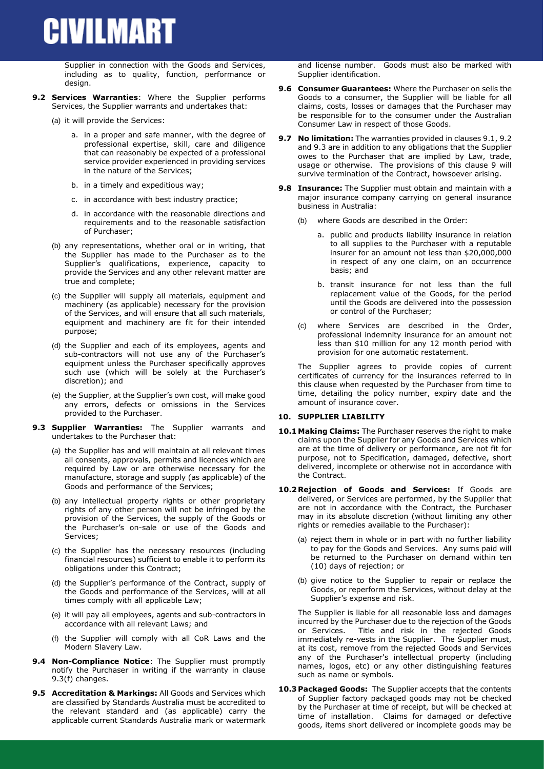Supplier in connection with the Goods and Services. including as to quality, function, performance or design.

- <span id="page-3-2"></span>**9.2 Services Warranties**: Where the Supplier performs Services, the Supplier warrants and undertakes that:
	- (a) it will provide the Services:
		- a. in a proper and safe manner, with the degree of professional expertise, skill, care and diligence that can reasonably be expected of a professional service provider experienced in providing services in the nature of the Services;
		- b. in a timely and expeditious way;
		- c. in accordance with best industry practice;
		- d. in accordance with the reasonable directions and requirements and to the reasonable satisfaction of Purchaser;
	- (b) any representations, whether oral or in writing, that the Supplier has made to the Purchaser as to the Supplier's qualifications, experience, capacity to provide the Services and any other relevant matter are true and complete;
	- (c) the Supplier will supply all materials, equipment and machinery (as applicable) necessary for the provision of the Services, and will ensure that all such materials, equipment and machinery are fit for their intended purpose;
	- (d) the Supplier and each of its employees, agents and sub-contractors will not use any of the Purchaser's equipment unless the Purchaser specifically approves such use (which will be solely at the Purchaser's discretion); and
	- (e) the Supplier, at the Supplier's own cost, will make good any errors, defects or omissions in the Services provided to the Purchaser.
- <span id="page-3-0"></span>**9.3 Supplier Warranties:** The Supplier warrants and undertakes to the Purchaser that:
	- (a) the Supplier has and will maintain at all relevant times all consents, approvals, permits and licences which are required by Law or are otherwise necessary for the manufacture, storage and supply (as applicable) of the Goods and performance of the Services;
	- (b) any intellectual property rights or other proprietary rights of any other person will not be infringed by the provision of the Services, the supply of the Goods or the Purchaser's on-sale or use of the Goods and Services;
	- (c) the Supplier has the necessary resources (including financial resources) sufficient to enable it to perform its obligations under this Contract;
	- (d) the Supplier's performance of the Contract, supply of the Goods and performance of the Services, will at all times comply with all applicable Law;
	- (e) it will pay all employees, agents and sub-contractors in accordance with all relevant Laws; and
	- (f) the Supplier will comply with all CoR Laws and the Modern Slavery Law.
- <span id="page-3-3"></span><span id="page-3-1"></span>**9.4 Non-Compliance Notice**: The Supplier must promptly notify the Purchaser in writing if the warranty in clause [9.3](#page-3-0)[\(f\)](#page-3-1) changes.
- **9.5 Accreditation & Markings:** All Goods and Services which are classified by Standards Australia must be accredited to the relevant standard and (as applicable) carry the applicable current Standards Australia mark or watermark

and license number. Goods must also be marked with Supplier identification.

- **9.6 Consumer Guarantees:** Where the Purchaser on sells the Goods to a consumer, the Supplier will be liable for all claims, costs, losses or damages that the Purchaser may be responsible for to the consumer under the Australian Consumer Law in respect of those Goods.
- **9.7 No limitation:** The warranties provided in clause[s 9.1,](#page-2-2) [9.2](#page-3-2) an[d 9.3](#page-3-0) are in addition to any obligations that the Supplier owes to the Purchaser that are implied by Law, trade, usage or otherwise. The provisions of this clause [9](#page-2-3) will survive termination of the Contract, howsoever arising.
- **9.8 Insurance:** The Supplier must obtain and maintain with a major insurance company carrying on general insurance business in Australia:
	- (b) where Goods are described in the Order:
		- a. public and products liability insurance in relation to all supplies to the Purchaser with a reputable insurer for an amount not less than \$20,000,000 in respect of any one claim, on an occurrence basis; and
		- b. transit insurance for not less than the full replacement value of the Goods, for the period until the Goods are delivered into the possession or control of the Purchaser;
	- (c) where Services are described in the Order, professional indemnity insurance for an amount not less than \$10 million for any 12 month period with provision for one automatic restatement.

The Supplier agrees to provide copies of current certificates of currency for the insurances referred to in this clause when requested by the Purchaser from time to time, detailing the policy number, expiry date and the amount of insurance cover.

### **10. SUPPLIER LIABILITY**

- **10.1 Making Claims:** The Purchaser reserves the right to make claims upon the Supplier for any Goods and Services which are at the time of delivery or performance, are not fit for purpose, not to Specification, damaged, defective, short delivered, incomplete or otherwise not in accordance with the Contract.
- **10.2 Rejection of Goods and Services:** If Goods are delivered, or Services are performed, by the Supplier that are not in accordance with the Contract, the Purchaser may in its absolute discretion (without limiting any other rights or remedies available to the Purchaser):
	- (a) reject them in whole or in part with no further liability to pay for the Goods and Services. Any sums paid will be returned to the Purchaser on demand within ten (10) days of rejection; or
	- (b) give notice to the Supplier to repair or replace the Goods, or reperform the Services, without delay at the Supplier's expense and risk.

The Supplier is liable for all reasonable loss and damages incurred by the Purchaser due to the rejection of the Goods or Services. Title and risk in the rejected Goods immediately re-vests in the Supplier. The Supplier must, at its cost, remove from the rejected Goods and Services any of the Purchaser's intellectual property (including names, logos, etc) or any other distinguishing features such as name or symbols.

**10.3 Packaged Goods:** The Supplier accepts that the contents of Supplier factory packaged goods may not be checked by the Purchaser at time of receipt, but will be checked at time of installation. Claims for damaged or defective goods, items short delivered or incomplete goods may be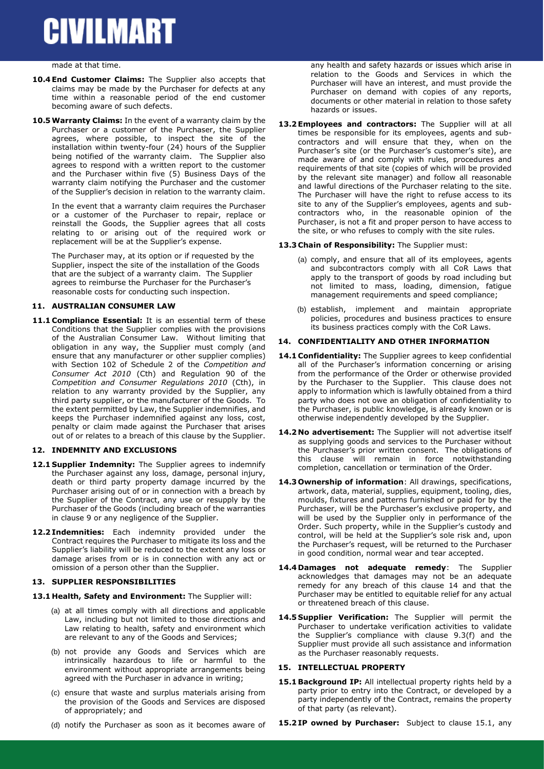#### made at that time.

- **10.4 End Customer Claims:** The Supplier also accepts that claims may be made by the Purchaser for defects at any time within a reasonable period of the end customer becoming aware of such defects.
- **10.5Warranty Claims:** In the event of a warranty claim by the Purchaser or a customer of the Purchaser, the Supplier agrees, where possible, to inspect the site of the installation within twenty-four (24) hours of the Supplier being notified of the warranty claim. The Supplier also agrees to respond with a written report to the customer and the Purchaser within five (5) Business Days of the warranty claim notifying the Purchaser and the customer of the Supplier's decision in relation to the warranty claim.

In the event that a warranty claim requires the Purchaser or a customer of the Purchaser to repair, replace or reinstall the Goods, the Supplier agrees that all costs relating to or arising out of the required work or replacement will be at the Supplier's expense.

The Purchaser may, at its option or if requested by the Supplier, inspect the site of the installation of the Goods that are the subject of a warranty claim. The Supplier agrees to reimburse the Purchaser for the Purchaser's reasonable costs for conducting such inspection.

### **11. AUSTRALIAN CONSUMER LAW**

**11.1 Compliance Essential:** It is an essential term of these Conditions that the Supplier complies with the provisions of the Australian Consumer Law. Without limiting that obligation in any way, the Supplier must comply (and ensure that any manufacturer or other supplier complies) with Section 102 of Schedule 2 of the *Competition and Consumer Act 2010* (Cth) and Regulation 90 of the *Competition and Consumer Regulations 2010* (Cth), in relation to any warranty provided by the Supplier, any third party supplier, or the manufacturer of the Goods. To the extent permitted by Law, the Supplier indemnifies, and keeps the Purchaser indemnified against any loss, cost, penalty or claim made against the Purchaser that arises out of or relates to a breach of this clause by the Supplier.

### **12. INDEMNITY AND EXCLUSIONS**

- 12.1 **Supplier Indemnity:** The Supplier agrees to indemnify the Purchaser against any loss, damage, personal injury, death or third party property damage incurred by the Purchaser arising out of or in connection with a breach by the Supplier of the Contract, any use or resupply by the Purchaser of the Goods (including breach of the warranties in clause [9](#page-2-3) or any negligence of the Supplier.
- **12.2 Indemnities:** Each indemnity provided under the Contract requires the Purchaser to mitigate its loss and the Supplier's liability will be reduced to the extent any loss or damage arises from or is in connection with any act or omission of a person other than the Supplier.

#### **13. SUPPLIER RESPONSIBILITIES**

- **13.1 Health, Safety and Environment:** The Supplier will:
	- (a) at all times comply with all directions and applicable Law, including but not limited to those directions and Law relating to health, safety and environment which are relevant to any of the Goods and Services;
	- (b) not provide any Goods and Services which are intrinsically hazardous to life or harmful to the environment without appropriate arrangements being agreed with the Purchaser in advance in writing;
	- (c) ensure that waste and surplus materials arising from the provision of the Goods and Services are disposed of appropriately; and
	- (d) notify the Purchaser as soon as it becomes aware of

any health and safety hazards or issues which arise in relation to the Goods and Services in which the Purchaser will have an interest, and must provide the Purchaser on demand with copies of any reports, documents or other material in relation to those safety hazards or issues.

**13.2 Employees and contractors:** The Supplier will at all times be responsible for its employees, agents and subcontractors and will ensure that they, when on the Purchaser's site (or the Purchaser's customer's site), are made aware of and comply with rules, procedures and requirements of that site (copies of which will be provided by the relevant site manager) and follow all reasonable and lawful directions of the Purchaser relating to the site. The Purchaser will have the right to refuse access to its site to any of the Supplier's employees, agents and subcontractors who, in the reasonable opinion of the Purchaser, is not a fit and proper person to have access to the site, or who refuses to comply with the site rules.

#### **13.3 Chain of Responsibility:** The Supplier must:

- (a) comply, and ensure that all of its employees, agents and subcontractors comply with all CoR Laws that apply to the transport of goods by road including but not limited to mass, loading, dimension, fatigue management requirements and speed compliance;
- (b) establish, implement and maintain appropriate policies, procedures and business practices to ensure its business practices comply with the CoR Laws.

#### <span id="page-4-0"></span>**14. CONFIDENTIALITY AND OTHER INFORMATION**

- **14.1 Confidentiality:** The Supplier agrees to keep confidential all of the Purchaser's information concerning or arising from the performance of the Order or otherwise provided by the Purchaser to the Supplier. This clause does not apply to information which is lawfully obtained from a third party who does not owe an obligation of confidentiality to the Purchaser, is public knowledge, is already known or is otherwise independently developed by the Supplier.
- **14.2 No advertisement:** The Supplier will not advertise itself as supplying goods and services to the Purchaser without the Purchaser's prior written consent. The obligations of this clause will remain in force notwithstanding completion, cancellation or termination of the Order.
- **14.3 Ownership of information**: All drawings, specifications, artwork, data, material, supplies, equipment, tooling, dies, moulds, fixtures and patterns furnished or paid for by the Purchaser, will be the Purchaser's exclusive property, and will be used by the Supplier only in performance of the Order. Such property, while in the Supplier's custody and control, will be held at the Supplier's sole risk and, upon the Purchaser's request, will be returned to the Purchaser in good condition, normal wear and tear accepted.
- **14.4 Damages not adequate remedy**: The Supplier acknowledges that damages may not be an adequate remedy for any breach of this clause [14](#page-4-0) and that the Purchaser may be entitled to equitable relief for any actual or threatened breach of this clause.
- **14.5 Supplier Verification:** The Supplier will permit the Purchaser to undertake verification activities to validate the Supplier's compliance with clause 9.3(f) and the Supplier must provide all such assistance and information as the Purchaser reasonably requests.

### **15. INTELLECTUAL PROPERTY**

<span id="page-4-1"></span>15.1 **Background IP:** All intellectual property rights held by a party prior to entry into the Contract, or developed by a party independently of the Contract, remains the property of that party (as relevant).

**15.2 IP owned by Purchaser:** Subject to clause [15.1,](#page-4-1) any